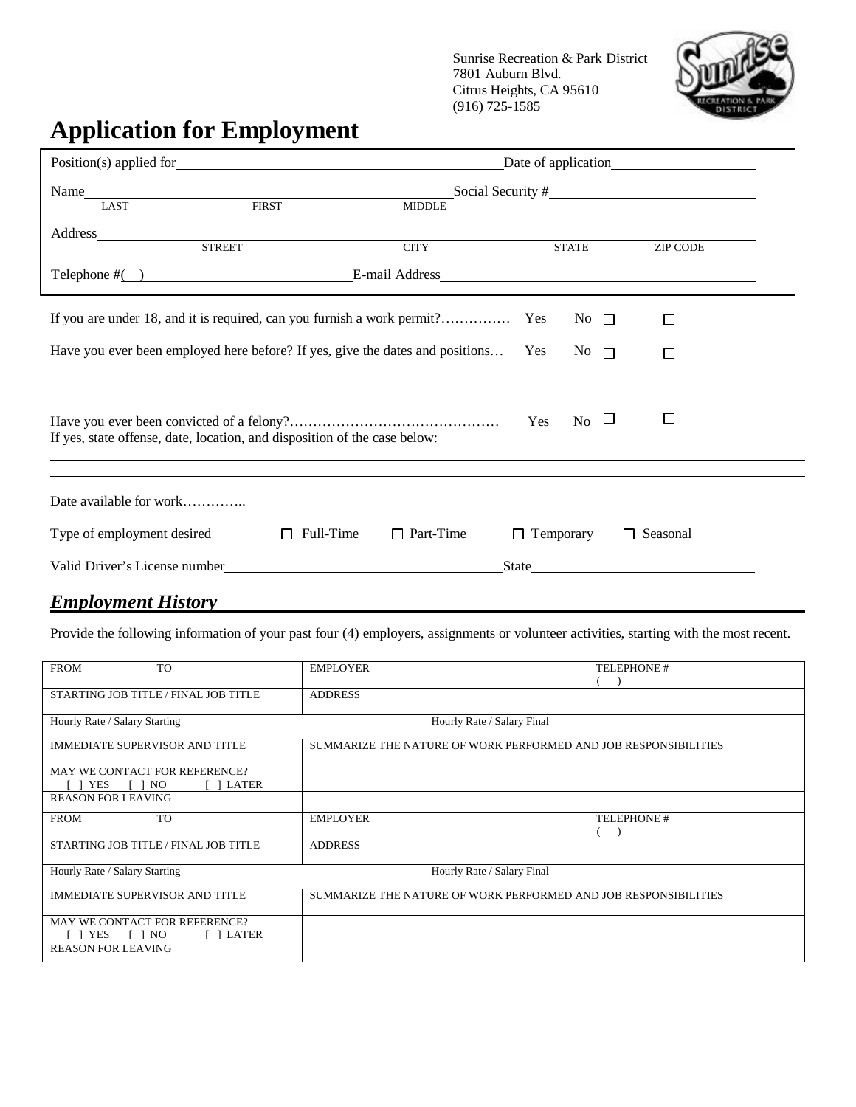Sunrise Recreation & Park District 7801 Auburn Blvd. Citrus Heights, CA 95610 (916) 725-1585



# **Application for Employment**

|                                                                                   | Name LAST LAST FIRST FIRST Social Security # LAST LAST LAST FIRST FIRST SOCIAL SECURITY THE SOCIAL SECURITY THE SOCIAL SECURITY THE SOCIAL SECURITY THE SOCIAL SECURITY THE SOCIAL SECURITY THE SOCIAL SECURITY THE SOCIAL SEC |                  |     |                    |                 |  |
|-----------------------------------------------------------------------------------|--------------------------------------------------------------------------------------------------------------------------------------------------------------------------------------------------------------------------------|------------------|-----|--------------------|-----------------|--|
|                                                                                   |                                                                                                                                                                                                                                |                  |     |                    |                 |  |
|                                                                                   |                                                                                                                                                                                                                                |                  |     |                    |                 |  |
| <b>STREET</b>                                                                     |                                                                                                                                                                                                                                | <b>CITY</b>      |     | <b>STATE</b>       | ZIP CODE        |  |
|                                                                                   |                                                                                                                                                                                                                                |                  |     |                    |                 |  |
|                                                                                   |                                                                                                                                                                                                                                |                  |     | No $\Box$          | □               |  |
| Have you ever been employed here before? If yes, give the dates and positions Yes |                                                                                                                                                                                                                                |                  |     | No $\square$       | □               |  |
| If yes, state offense, date, location, and disposition of the case below:         |                                                                                                                                                                                                                                |                  | Yes | $_{\rm No}$ $\Box$ | □               |  |
|                                                                                   |                                                                                                                                                                                                                                |                  |     |                    |                 |  |
| Type of employment desired $\Box$ Full-Time                                       |                                                                                                                                                                                                                                | $\Box$ Part-Time |     | $\Box$ Temporary   | $\Box$ Seasonal |  |
|                                                                                   |                                                                                                                                                                                                                                |                  |     |                    | State           |  |
| <b>Employment History</b>                                                         |                                                                                                                                                                                                                                |                  |     |                    |                 |  |

Provide the following information of your past four (4) employers, assignments or volunteer activities, starting with the most recent.

| <b>FROM</b><br><b>TO</b>             | <b>EMPLOYER</b>                                                 | <b>TELEPHONE#</b>          |  |
|--------------------------------------|-----------------------------------------------------------------|----------------------------|--|
|                                      |                                                                 |                            |  |
| STARTING JOB TITLE / FINAL JOB TITLE | <b>ADDRESS</b>                                                  |                            |  |
|                                      |                                                                 |                            |  |
| Hourly Rate / Salary Starting        |                                                                 | Hourly Rate / Salary Final |  |
| IMMEDIATE SUPERVISOR AND TITLE       | SUMMARIZE THE NATURE OF WORK PERFORMED AND JOB RESPONSIBILITIES |                            |  |
|                                      |                                                                 |                            |  |
| MAY WE CONTACT FOR REFERENCE?        |                                                                 |                            |  |
| <b>YES</b><br>NO.<br>LATER           |                                                                 |                            |  |
| <b>REASON FOR LEAVING</b>            |                                                                 |                            |  |
| <b>TO</b><br><b>FROM</b>             | <b>EMPLOYER</b>                                                 | <b>TELEPHONE#</b>          |  |
|                                      |                                                                 |                            |  |
| STARTING JOB TITLE / FINAL JOB TITLE | <b>ADDRESS</b>                                                  |                            |  |
|                                      |                                                                 |                            |  |
| Hourly Rate / Salary Starting        |                                                                 | Hourly Rate / Salary Final |  |
|                                      |                                                                 |                            |  |
| IMMEDIATE SUPERVISOR AND TITLE       | SUMMARIZE THE NATURE OF WORK PERFORMED AND JOB RESPONSIBILITIES |                            |  |
|                                      |                                                                 |                            |  |
| MAY WE CONTACT FOR REFERENCE?        |                                                                 |                            |  |
| YES<br>NO.<br>1 LATER                |                                                                 |                            |  |
| <b>REASON FOR LEAVING</b>            |                                                                 |                            |  |
|                                      |                                                                 |                            |  |